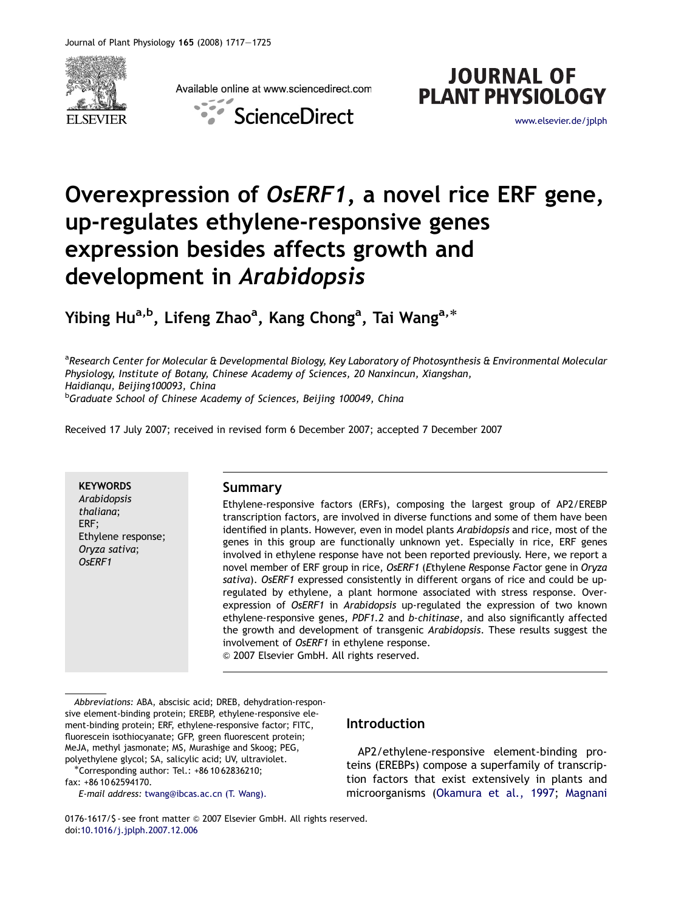

Available online at www.sciencedirect.com





# Overexpression of OsERF1, a novel rice ERF gene, up-regulates ethylene-responsive genes expression besides affects growth and development in Arabidopsis

Yibing Hu<sup>a,b</sup>, Lifeng Zhao<sup>a</sup>, Kang Chong<sup>a</sup>, Tai Wang<sup>a,\*</sup>

<sup>a</sup>Research Center for Molecular & Developmental Biology, Key Laboratory of Photosynthesis & Environmental Molecular Physiology, Institute of Botany, Chinese Academy of Sciences, 20 Nanxincun, Xiangshan, Haidianqu, Beijing100093, China <sup>b</sup>Graduate School of Chinese Academy of Sciences, Beijing 100049, China

Received 17 July 2007; received in revised form 6 December 2007; accepted 7 December 2007

**KEYWORDS** Arabidopsis thaliana; ERF; Ethylene response; Oryza sativa; OsERF1

## Summary

Ethylene-responsive factors (ERFs), composing the largest group of AP2/EREBP transcription factors, are involved in diverse functions and some of them have been identified in plants. However, even in model plants Arabidopsis and rice, most of the genes in this group are functionally unknown yet. Especially in rice, ERF genes involved in ethylene response have not been reported previously. Here, we report a novel member of ERF group in rice, OsERF1 (Ethylene Response Factor gene in Oryza sativa). OsERF1 expressed consistently in different organs of rice and could be upregulated by ethylene, a plant hormone associated with stress response. Overexpression of OsERF1 in Arabidopsis up-regulated the expression of two known ethylene-responsive genes, PDF1.2 and b-chitinase, and also significantly affected the growth and development of transgenic Arabidopsis. These results suggest the involvement of OsERF1 in ethylene response. & 2007 Elsevier GmbH. All rights reserved.

Abbreviations: ABA, abscisic acid; DREB, dehydration-responsive element-binding protein; EREBP, ethylene-responsive element-binding protein; ERF, ethylene-responsive factor; FITC, fluorescein isothiocyanate; GFP, green fluorescent protein; MeJA, methyl jasmonate; MS, Murashige and Skoog; PEG, polyethylene glycol; SA, salicylic acid; UV, ultraviolet. -

Corresponding author: Tel.: +86 10 62836210; fax: +86 10 62594170.

E-mail address: [twang@ibcas.ac.cn \(T. Wang\).](mailto:twang@ibcas.ac.cn)

# Introduction

AP2/ethylene-responsive element-binding proteins (EREBPs) compose a superfamily of transcription factors that exist extensively in plants and microorganisms [\(Okamura et al., 1997](#page-8-0); [Magnani](#page-8-0)

0176-1617/\$ - see front matter © 2007 Elsevier GmbH. All rights reserved. doi[:10.1016/j.jplph.2007.12.006](dx.doi.org/10.1016/j.jplph.2007.12.006)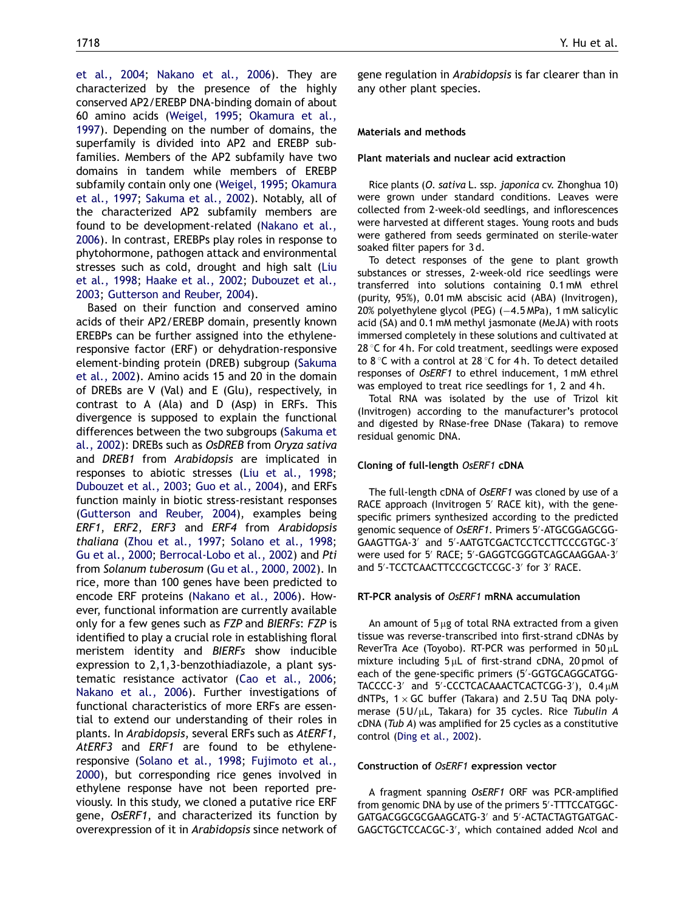[et al., 2004](#page-8-0); [Nakano et al., 2006](#page-8-0)). They are characterized by the presence of the highly conserved AP2/EREBP DNA-binding domain of about 60 amino acids ([Weigel, 1995;](#page-8-0) [Okamura et al.,](#page-8-0) [1997](#page-8-0)). Depending on the number of domains, the superfamily is divided into AP2 and EREBP subfamilies. Members of the AP2 subfamily have two domains in tandem while members of EREBP subfamily contain only one ([Weigel, 1995;](#page-8-0) [Okamura](#page-8-0) [et al., 1997;](#page-8-0) [Sakuma et al., 2002](#page-8-0)). Notably, all of the characterized AP2 subfamily members are found to be development-related [\(Nakano et al.,](#page-8-0) [2006](#page-8-0)). In contrast, EREBPs play roles in response to phytohormone, pathogen attack and environmental stresses such as cold, drought and high salt [\(Liu](#page-8-0) [et al., 1998;](#page-8-0) [Haake et al., 2002;](#page-8-0) [Dubouzet et al.,](#page-8-0) [2003](#page-8-0); [Gutterson and Reuber, 2004](#page-8-0)).

Based on their function and conserved amino acids of their AP2/EREBP domain, presently known EREBPs can be further assigned into the ethyleneresponsive factor (ERF) or dehydration-responsive element-binding protein (DREB) subgroup ([Sakuma](#page-8-0) [et al., 2002](#page-8-0)). Amino acids 15 and 20 in the domain of DREBs are V (Val) and E (Glu), respectively, in contrast to A (Ala) and D (Asp) in ERFs. This divergence is supposed to explain the functional differences between the two subgroups ([Sakuma et](#page-8-0) [al., 2002](#page-8-0)): DREBs such as OsDREB from Oryza sativa and DREB1 from Arabidopsis are implicated in responses to abiotic stresses [\(Liu et al., 1998;](#page-8-0) [Dubouzet et al., 2003;](#page-8-0) [Guo et al., 2004](#page-8-0)), and ERFs function mainly in biotic stress-resistant responses ([Gutterson and Reuber, 2004\)](#page-8-0), examples being ERF1, ERF2, ERF3 and ERF4 from Arabidopsis thaliana ([Zhou et al., 1997;](#page-8-0) [Solano et al., 1998;](#page-8-0) [Gu et al., 2000;](#page-8-0) [Berrocal-Lobo et al., 2002](#page-8-0)) and Pti from Solanum tuberosum ([Gu et al., 2000, 2002\)](#page-8-0). In rice, more than 100 genes have been predicted to encode ERF proteins ([Nakano et al., 2006\)](#page-8-0). However, functional information are currently available only for a few genes such as FZP and BIERFs: FZP is identified to play a crucial role in establishing floral meristem identity and BIERFs show inducible expression to 2,1,3-benzothiadiazole, a plant systematic resistance activator ([Cao et al., 2006;](#page-8-0) [Nakano et al., 2006\)](#page-8-0). Further investigations of functional characteristics of more ERFs are essential to extend our understanding of their roles in plants. In Arabidopsis, several ERFs such as AtERF1, AtERF3 and ERF1 are found to be ethyleneresponsive [\(Solano et al., 1998;](#page-8-0) [Fujimoto et al.,](#page-8-0) [2000](#page-8-0)), but corresponding rice genes involved in ethylene response have not been reported previously. In this study, we cloned a putative rice ERF gene, OsERF1, and characterized its function by overexpression of it in Arabidopsis since network of gene regulation in Arabidopsis is far clearer than in any other plant species.

## Materials and methods

#### Plant materials and nuclear acid extraction

Rice plants (O. sativa L. ssp. japonica cv. Zhonghua 10) were grown under standard conditions. Leaves were collected from 2-week-old seedlings, and inflorescences were harvested at different stages. Young roots and buds were gathered from seeds germinated on sterile-water soaked filter papers for 3 d.

To detect responses of the gene to plant growth substances or stresses, 2-week-old rice seedlings were transferred into solutions containing 0.1 mM ethrel (purity, 95%), 0.01 mM abscisic acid (ABA) (Invitrogen), 20% polyethylene glycol (PEG) (-4.5 MPa), 1 mM salicylic acid (SA) and 0.1 mM methyl jasmonate (MeJA) with roots immersed completely in these solutions and cultivated at 28  $\degree$ C for 4 h. For cold treatment, seedlings were exposed to 8 °C with a control at 28 °C for 4 h. To detect detailed responses of OsERF1 to ethrel inducement, 1 mM ethrel was employed to treat rice seedlings for 1, 2 and 4 h.

Total RNA was isolated by the use of Trizol kit (Invitrogen) according to the manufacturer's protocol and digested by RNase-free DNase (Takara) to remove residual genomic DNA.

## Cloning of full-length OsERF1 cDNA

The full-length cDNA of OsERF1 was cloned by use of a RACE approach (Invitrogen 5' RACE kit), with the genespecific primers synthesized according to the predicted genomic sequence of OsERF1. Primers 5'-ATGCGGAGCGG-GAAGTTGA-3' and 5'-AATGTCGACTCCTCCTTCCCGTGC-3' were used for 5' RACE; 5'-GAGGTCGGGTCAGCAAGGAA-3' and 5'-TCCTCAACTTCCCGCTCCGC-3' for 3' RACE.

## RT-PCR analysis of OsERF1 mRNA accumulation

An amount of  $5 \mu g$  of total RNA extracted from a given tissue was reverse-transcribed into first-strand cDNAs by ReverTra Ace (Toyobo). RT-PCR was performed in  $50 \mu L$ mixture including  $5 \mu L$  of first-strand cDNA, 20 pmol of each of the gene-specific primers (5'-GGTGCAGGCATGG-TACCCC-3' and 5'-CCCTCACAAACTCACTCGG-3'),  $0.4 \mu M$ dNTPs,  $1 \times$  GC buffer (Takara) and 2.5 U Taq DNA polymerase ( $5 U/uL$ , Takara) for 35 cycles. Rice Tubulin A cDNA (Tub A) was amplified for 25 cycles as a constitutive control [\(Ding et al., 2002](#page-8-0)).

#### Construction of OsERF1 expression vector

A fragment spanning OsERF1 ORF was PCR-amplified from genomic DNA by use of the primers 5'-TTTCCATGGC-GATGACGGCGCGAAGCATG-3' and 5'-ACTACTAGTGATGAC-GAGCTGCTCCACGC-3', which contained added Ncol and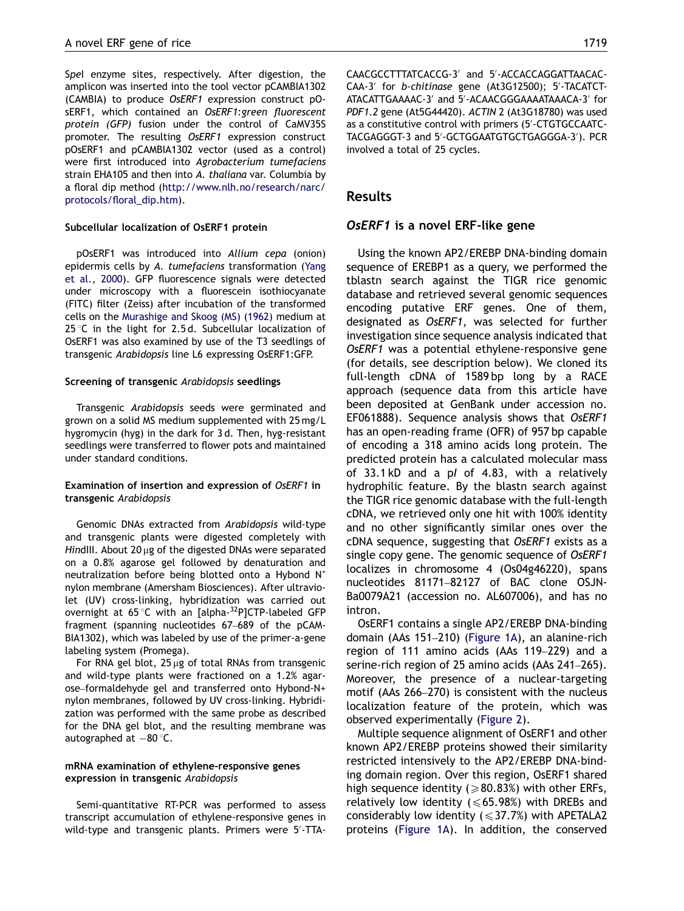Spel enzyme sites, respectively. After digestion, the amplicon was inserted into the tool vector pCAMBIA1302 (CAMBIA) to produce OsERF1 expression construct pOsERF1, which contained an OsERF1:green fluorescent protein (GFP) fusion under the control of CaMV35S promoter. The resulting OsERF1 expression construct pOsERF1 and pCAMBIA1302 vector (used as a control) were first introduced into Agrobacterium tumefaciens strain EHA105 and then into A. thaliana var. Columbia by a floral dip method [\(http://www.nlh.no/research/narc/](http://www.nlh.no/research/narc/protocols/floral_dip.htm) [protocols/floral\\_dip.htm](http://www.nlh.no/research/narc/protocols/floral_dip.htm)).

#### Subcellular localization of OsERF1 protein

pOsERF1 was introduced into Allium cepa (onion) epidermis cells by A. tumefaciens transformation ([Yang](#page-8-0) [et al., 2000\)](#page-8-0). GFP fluorescence signals were detected under microscopy with a fluorescein isothiocyanate (FITC) filter (Zeiss) after incubation of the transformed cells on the [Murashige and Skoog \(MS\) \(1962\)](#page-8-0) medium at 25 °C in the light for 2.5 d. Subcellular localization of OsERF1 was also examined by use of the T3 seedlings of transgenic Arabidopsis line L6 expressing OsERF1:GFP.

#### Screening of transgenic Arabidopsis seedlings

Transgenic Arabidopsis seeds were germinated and grown on a solid MS medium supplemented with 25 mg/L hygromycin (hyg) in the dark for 3 d. Then, hyg-resistant seedlings were transferred to flower pots and maintained under standard conditions.

## Examination of insertion and expression of OsERF1 in transgenic Arabidopsis

Genomic DNAs extracted from Arabidopsis wild-type and transgenic plants were digested completely with HindIII. About 20  $\mu$ g of the digested DNAs were separated on a 0.8% agarose gel followed by denaturation and neutralization before being blotted onto a Hybond N<sup>+</sup> nylon membrane (Amersham Biosciences). After ultraviolet (UV) cross-linking, hybridization was carried out overnight at 65 $\degree$ C with an [alpha- $^{32}$ P]CTP-labeled GFP fragment (spanning nucleotides 67–689 of the pCAM-BIA1302), which was labeled by use of the primer-a-gene labeling system (Promega).

For RNA gel blot,  $25 \mu g$  of total RNAs from transgenic and wild-type plants were fractioned on a 1.2% agarose–formaldehyde gel and transferred onto Hybond-N+ nylon membranes, followed by UV cross-linking. Hybridization was performed with the same probe as described for the DNA gel blot, and the resulting membrane was autographed at  $-80$  °C.

## mRNA examination of ethylene-responsive genes expression in transgenic Arabidopsis

Semi-quantitative RT-PCR was performed to assess transcript accumulation of ethylene-responsive genes in wild-type and transgenic plants. Primers were 5'-TTA-

CAACGCCTTTATCACCG-3' and 5'-ACCACCAGGATTAACAC-CAA-3' for b-chitinase gene (At3G12500); 5'-TACATCT-ATACATTGAAAAC-3' and 5'-ACAACGGGAAAATAAACA-3' for PDF1.2 gene (At5G44420). ACTIN 2 (At3G18780) was used as a constitutive control with primers (5'-CTGTGCCAATC-TACGAGGGT-3 and 5'-GCTGGAATGTGCTGAGGGA-3'). PCR involved a total of 25 cycles.

# Results

## OsERF1 is a novel ERF-like gene

Using the known AP2/EREBP DNA-binding domain sequence of EREBP1 as a query, we performed the tblastn search against the TIGR rice genomic database and retrieved several genomic sequences encoding putative ERF genes. One of them, designated as OsERF1, was selected for further investigation since sequence analysis indicated that OsERF1 was a potential ethylene-responsive gene (for details, see description below). We cloned its full-length cDNA of 1589 bp long by a RACE approach (sequence data from this article have been deposited at GenBank under accession no. EF061888). Sequence analysis shows that OsERF1 has an open-reading frame (OFR) of 957 bp capable of encoding a 318 amino acids long protein. The predicted protein has a calculated molecular mass of 33.1 kD and a pI of 4.83, with a relatively hydrophilic feature. By the blastn search against the TIGR rice genomic database with the full-length cDNA, we retrieved only one hit with 100% identity and no other significantly similar ones over the cDNA sequence, suggesting that OsERF1 exists as a single copy gene. The genomic sequence of OsERF1 localizes in chromosome 4 (Os04g46220), spans nucleotides 81171–82127 of BAC clone OSJN-Ba0079A21 (accession no. AL607006), and has no intron.

OsERF1 contains a single AP2/EREBP DNA-binding domain (AAs 151–210) [\(Figure 1A\)](#page-3-0), an alanine-rich region of 111 amino acids (AAs 119–229) and a serine-rich region of 25 amino acids (AAs 241–265). Moreover, the presence of a nuclear-targeting motif (AAs 266–270) is consistent with the nucleus localization feature of the protein, which was observed experimentally ([Figure 2\)](#page-4-0).

Multiple sequence alignment of OsERF1 and other known AP2/EREBP proteins showed their similarity restricted intensively to the AP2/EREBP DNA-binding domain region. Over this region, OsERF1 shared high sequence identity ( $\geq 80.83\%$ ) with other ERFs, relatively low identity ( $\leq 65.98%$ ) with DREBs and considerably low identity ( $\leq$ 37.7%) with APETALA2 proteins [\(Figure 1A\)](#page-3-0). In addition, the conserved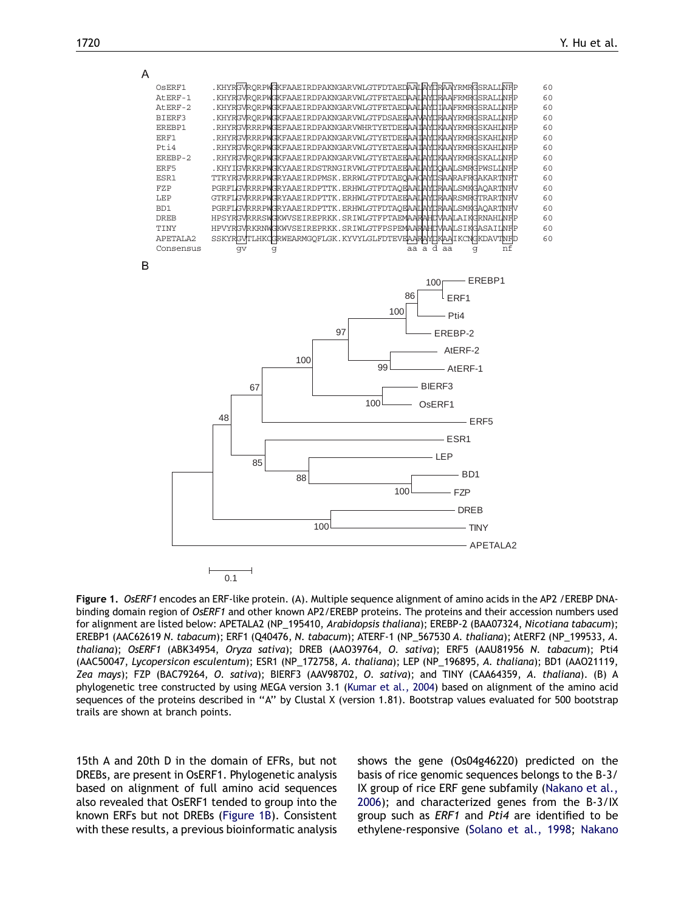<span id="page-3-0"></span>

Figure 1. OsERF1 encodes an ERF-like protein. (A). Multiple sequence alignment of amino acids in the AP2 / EREBP DNAbinding domain region of OsERF1 and other known AP2/EREBP proteins. The proteins and their accession numbers used for alignment are listed below: APETALA2 (NP\_195410, Arabidopsis thaliana); EREBP-2 (BAA07324, Nicotiana tabacum); EREBP1 (AAC62619 N. tabacum); ERF1 (Q40476, N. tabacum); ATERF-1 (NP\_567530 A. thaliana); AtERF2 (NP\_199533, A. thaliana); OsERF1 (ABK34954, Oryza sativa); DREB (AAO39764, O. sativa); ERF5 (AAU81956 N. tabacum); Pti4 (AAC50047, Lycopersicon esculentum); ESR1 (NP\_172758, A. thaliana); LEP (NP\_196895, A. thaliana); BD1 (AAO21119, Zea mays); FZP (BAC79264, O. sativa); BIERF3 (AAV98702, O. sativa); and TINY (CAA64359, A. thaliana). (B) A phylogenetic tree constructed by using MEGA version 3.1 ([Kumar et al., 2004](#page-8-0)) based on alignment of the amino acid sequences of the proteins described in ''A'' by Clustal X (version 1.81). Bootstrap values evaluated for 500 bootstrap trails are shown at branch points.

15th A and 20th D in the domain of EFRs, but not DREBs, are present in OsERF1. Phylogenetic analysis based on alignment of full amino acid sequences also revealed that OsERF1 tended to group into the known ERFs but not DREBs (Figure 1B). Consistent with these results, a previous bioinformatic analysis shows the gene (Os04g46220) predicted on the basis of rice genomic sequences belongs to the B-3/ IX group of rice ERF gene subfamily [\(Nakano et al.,](#page-8-0) [2006](#page-8-0)); and characterized genes from the B-3/IX group such as ERF1 and Pti4 are identified to be ethylene-responsive ([Solano et al., 1998;](#page-8-0) [Nakano](#page-8-0)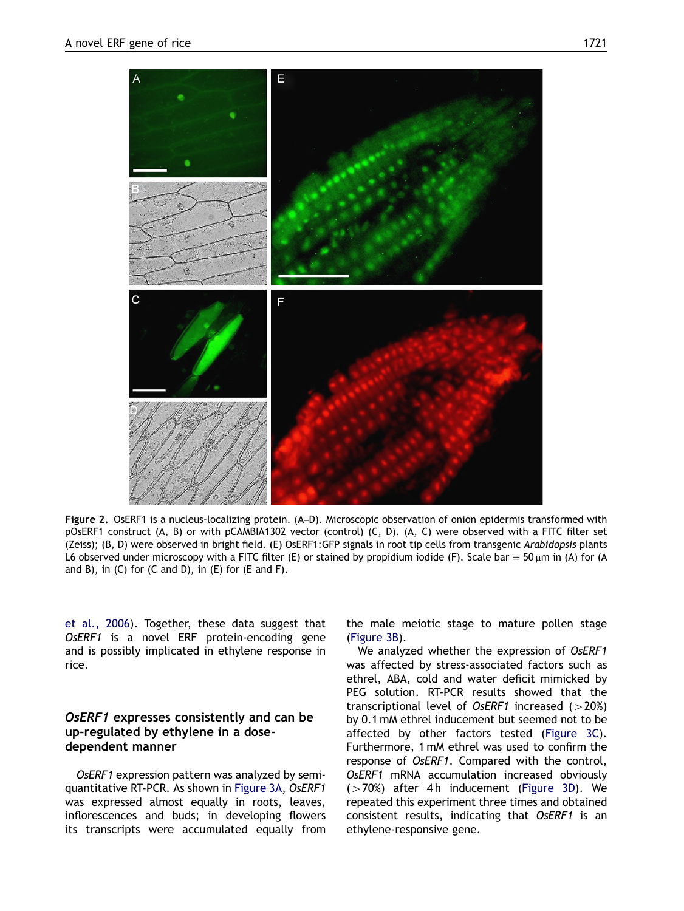<span id="page-4-0"></span>

Figure 2. OsERF1 is a nucleus-localizing protein. (A–D). Microscopic observation of onion epidermis transformed with pOsERF1 construct (A, B) or with pCAMBIA1302 vector (control) (C, D). (A, C) were observed with a FITC filter set (Zeiss); (B, D) were observed in bright field. (E) OsERF1:GFP signals in root tip cells from transgenic Arabidopsis plants L6 observed under microscopy with a FITC filter (E) or stained by propidium iodide (F). Scale bar = 50  $\mu$ m in (A) for (A) and B), in  $(C)$  for  $(C \text{ and } D)$ , in  $(E)$  for  $(E \text{ and } F)$ .

[et al., 2006](#page-8-0)). Together, these data suggest that OsERF1 is a novel ERF protein-encoding gene and is possibly implicated in ethylene response in rice.

# OsERF1 expresses consistently and can be up-regulated by ethylene in a dosedependent manner

OsERF1 expression pattern was analyzed by semiquantitative RT-PCR. As shown in [Figure 3A,](#page-5-0) OsERF1 was expressed almost equally in roots, leaves, inflorescences and buds; in developing flowers its transcripts were accumulated equally from the male meiotic stage to mature pollen stage [\(Figure 3B](#page-5-0)).

We analyzed whether the expression of OsERF1 was affected by stress-associated factors such as ethrel, ABA, cold and water deficit mimicked by PEG solution. RT-PCR results showed that the transcriptional level of OsERF1 increased  $(>20%)$ by 0.1 mM ethrel inducement but seemed not to be affected by other factors tested [\(Figure 3C\)](#page-5-0). Furthermore, 1 mM ethrel was used to confirm the response of OsERF1. Compared with the control, OsERF1 mRNA accumulation increased obviously  $(>70%)$  after 4h inducement ([Figure 3D\)](#page-5-0). We repeated this experiment three times and obtained consistent results, indicating that OsERF1 is an ethylene-responsive gene.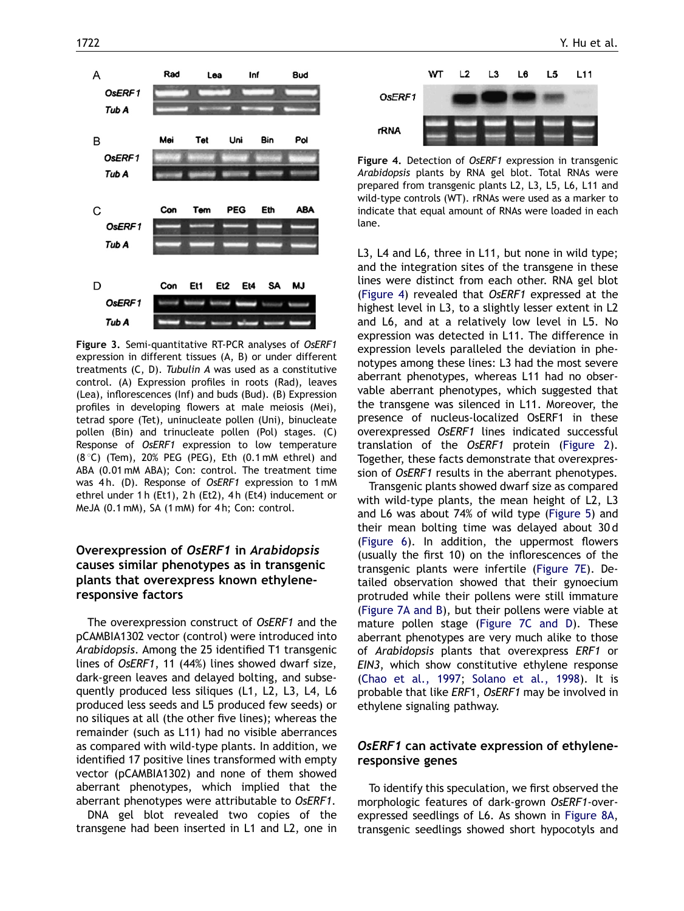<span id="page-5-0"></span>

Figure 3. Semi-quantitative RT-PCR analyses of OsERF1 expression in different tissues (A, B) or under different treatments (C, D). Tubulin A was used as a constitutive control. (A) Expression profiles in roots (Rad), leaves (Lea), inflorescences (Inf) and buds (Bud). (B) Expression profiles in developing flowers at male meiosis (Mei), tetrad spore (Tet), uninucleate pollen (Uni), binucleate pollen (Bin) and trinucleate pollen (Pol) stages. (C) Response of OsERF1 expression to low temperature  $(8 °C)$  (Tem), 20% PEG (PEG), Eth  $(0.1 \text{ mM}$  ethrel) and ABA (0.01 mM ABA); Con: control. The treatment time was 4h. (D). Response of OsERF1 expression to 1 mM ethrel under 1 h (Et1), 2 h (Et2), 4 h (Et4) inducement or MeJA (0.1 mM), SA (1 mM) for 4 h; Con: control.

# Overexpression of OsERF1 in Arabidopsis causes similar phenotypes as in transgenic plants that overexpress known ethyleneresponsive factors

The overexpression construct of OsERF1 and the pCAMBIA1302 vector (control) were introduced into Arabidopsis. Among the 25 identified T1 transgenic lines of OsERF1, 11 (44%) lines showed dwarf size, dark-green leaves and delayed bolting, and subsequently produced less siliques (L1, L2, L3, L4, L6 produced less seeds and L5 produced few seeds) or no siliques at all (the other five lines); whereas the remainder (such as L11) had no visible aberrances as compared with wild-type plants. In addition, we identified 17 positive lines transformed with empty vector (pCAMBIA1302) and none of them showed aberrant phenotypes, which implied that the aberrant phenotypes were attributable to OsERF1.

DNA gel blot revealed two copies of the transgene had been inserted in L1 and L2, one in



Figure 4. Detection of OsERF1 expression in transgenic Arabidopsis plants by RNA gel blot. Total RNAs were prepared from transgenic plants L2, L3, L5, L6, L11 and wild-type controls (WT). rRNAs were used as a marker to indicate that equal amount of RNAs were loaded in each lane.

L3, L4 and L6, three in L11, but none in wild type; and the integration sites of the transgene in these lines were distinct from each other. RNA gel blot (Figure 4) revealed that OsERF1 expressed at the highest level in L3, to a slightly lesser extent in L2 and L6, and at a relatively low level in L5. No expression was detected in L11. The difference in expression levels paralleled the deviation in phenotypes among these lines: L3 had the most severe aberrant phenotypes, whereas L11 had no observable aberrant phenotypes, which suggested that the transgene was silenced in L11. Moreover, the presence of nucleus-localized OsERF1 in these overexpressed OsERF1 lines indicated successful translation of the OsERF1 protein ([Figure 2](#page-4-0)). Together, these facts demonstrate that overexpression of OsERF1 results in the aberrant phenotypes.

Transgenic plants showed dwarf size as compared with wild-type plants, the mean height of L2, L3 and L6 was about 74% of wild type [\(Figure 5\)](#page-6-0) and their mean bolting time was delayed about 30 d [\(Figure 6\)](#page-6-0). In addition, the uppermost flowers (usually the first 10) on the inflorescences of the transgenic plants were infertile [\(Figure 7E\)](#page-6-0). Detailed observation showed that their gynoecium protruded while their pollens were still immature [\(Figure 7A and B\)](#page-6-0), but their pollens were viable at mature pollen stage ([Figure 7C and D\)](#page-6-0). These aberrant phenotypes are very much alike to those of Arabidopsis plants that overexpress ERF1 or EIN3, which show constitutive ethylene response [\(Chao et al., 1997;](#page-8-0) [Solano et al., 1998](#page-8-0)). It is probable that like ERF1, OsERF1 may be involved in ethylene signaling pathway.

# OsERF1 can activate expression of ethyleneresponsive genes

To identify this speculation, we first observed the morphologic features of dark-grown OsERF1-overexpressed seedlings of L6. As shown in [Figure 8A,](#page-7-0) transgenic seedlings showed short hypocotyls and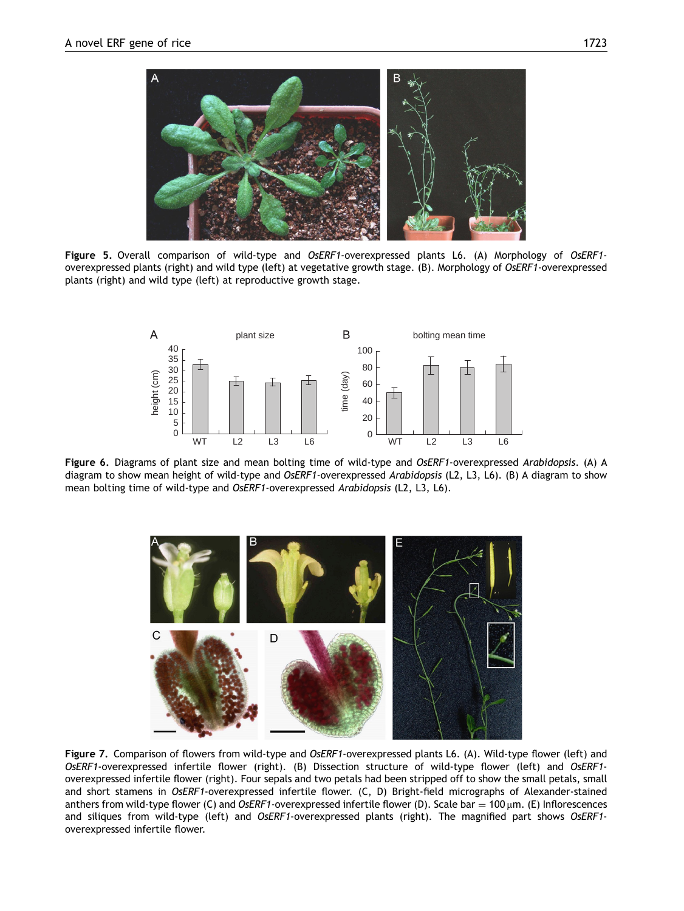<span id="page-6-0"></span>

Figure 5. Overall comparison of wild-type and OsERF1-overexpressed plants L6. (A) Morphology of OsERF1overexpressed plants (right) and wild type (left) at vegetative growth stage. (B). Morphology of OsERF1-overexpressed plants (right) and wild type (left) at reproductive growth stage.



Figure 6. Diagrams of plant size and mean bolting time of wild-type and OsERF1-overexpressed Arabidopsis. (A) A diagram to show mean height of wild-type and OsERF1-overexpressed Arabidopsis (L2, L3, L6). (B) A diagram to show mean bolting time of wild-type and OsERF1-overexpressed Arabidopsis (L2, L3, L6).



Figure 7. Comparison of flowers from wild-type and OsERF1-overexpressed plants L6. (A). Wild-type flower (left) and OsERF1-overexpressed infertile flower (right). (B) Dissection structure of wild-type flower (left) and OsERF1 overexpressed infertile flower (right). Four sepals and two petals had been stripped off to show the small petals, small and short stamens in OsERF1-overexpressed infertile flower. (C, D) Bright-field micrographs of Alexander-stained anthers from wild-type flower (C) and OsERF1-overexpressed infertile flower (D). Scale bar = 100  $\mu$ m. (E) Inflorescences and siliques from wild-type (left) and OsERF1-overexpressed plants (right). The magnified part shows OsERF1overexpressed infertile flower.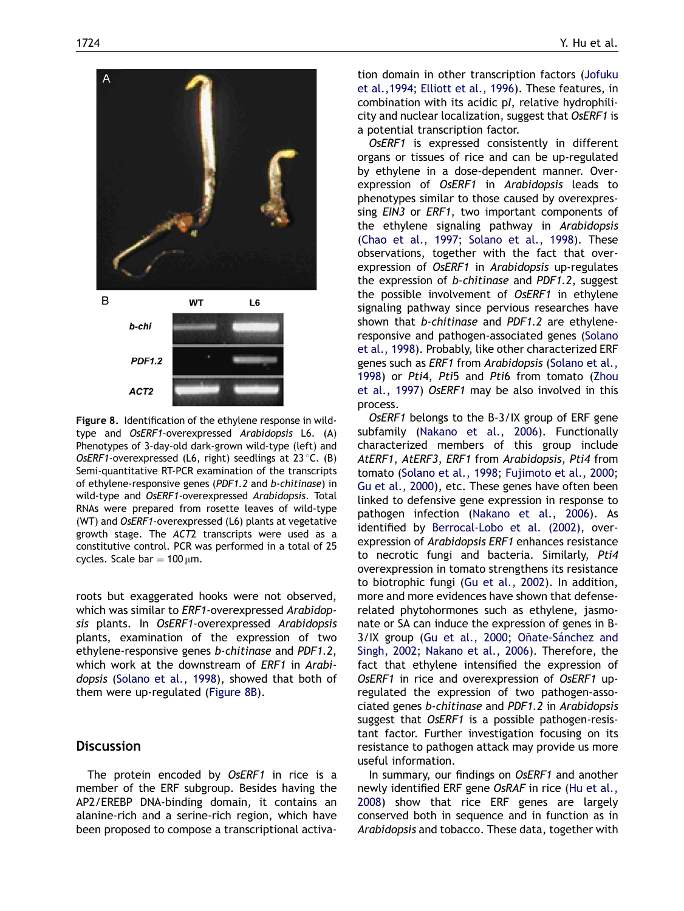<span id="page-7-0"></span>

Figure 8. Identification of the ethylene response in wildtype and OsERF1-overexpressed Arabidopsis L6. (A) Phenotypes of 3-day-old dark-grown wild-type (left) and OsERF1-overexpressed (L6, right) seedlings at 23 °C. (B) Semi-quantitative RT-PCR examination of the transcripts of ethylene-responsive genes (PDF1.2 and b-chitinase) in wild-type and OsERF1-overexpressed Arabidopsis. Total RNAs were prepared from rosette leaves of wild-type (WT) and OsERF1-overexpressed (L6) plants at vegetative growth stage. The ACT2 transcripts were used as a constitutive control. PCR was performed in a total of 25 cycles. Scale bar  $= 100 \mu m$ .

roots but exaggerated hooks were not observed, which was similar to *ERF1*-overexpressed *Arabidop*sis plants. In OsERF1-overexpressed Arabidopsis plants, examination of the expression of two ethylene-responsive genes b-chitinase and PDF1.2, which work at the downstream of ERF1 in Arabidopsis [\(Solano et al., 1998\)](#page-8-0), showed that both of them were up-regulated (Figure 8B).

## **Discussion**

The protein encoded by OsERF1 in rice is a member of the ERF subgroup. Besides having the AP2/EREBP DNA-binding domain, it contains an alanine-rich and a serine-rich region, which have been proposed to compose a transcriptional activation domain in other transcription factors [\(Jofuku](#page-8-0) [et al.,1994;](#page-8-0) [Elliott et al., 1996\)](#page-8-0). These features, in combination with its acidic pI, relative hydrophilicity and nuclear localization, suggest that OsERF1 is

a potential transcription factor. OsERF1 is expressed consistently in different organs or tissues of rice and can be up-regulated by ethylene in a dose-dependent manner. Overexpression of OsERF1 in Arabidopsis leads to phenotypes similar to those caused by overexpressing EIN3 or ERF1, two important components of the ethylene signaling pathway in Arabidopsis [\(Chao et al., 1997](#page-8-0); [Solano et al., 1998\)](#page-8-0). These observations, together with the fact that overexpression of OsERF1 in Arabidopsis up-regulates the expression of b-chitinase and PDF1.2, suggest the possible involvement of OsERF1 in ethylene signaling pathway since pervious researches have shown that b-chitinase and PDF1.2 are ethyleneresponsive and pathogen-associated genes ([Solano](#page-8-0) [et al., 1998\)](#page-8-0). Probably, like other characterized ERF genes such as ERF1 from Arabidopsis [\(Solano et al.,](#page-8-0) [1998](#page-8-0)) or Pti4, Pti5 and Pti6 from tomato [\(Zhou](#page-8-0) [et al., 1997](#page-8-0)) OsERF1 may be also involved in this process.

OsERF1 belongs to the B-3/IX group of ERF gene subfamily ([Nakano et al., 2006\)](#page-8-0). Functionally characterized members of this group include AtERF1, AtERF3, ERF1 from Arabidopsis, Pti4 from tomato [\(Solano et al., 1998;](#page-8-0) [Fujimoto et al., 2000;](#page-8-0) [Gu et al., 2000](#page-8-0)), etc. These genes have often been linked to defensive gene expression in response to pathogen infection ([Nakano et al., 2006\)](#page-8-0). As identified by [Berrocal-Lobo et al. \(2002\),](#page-8-0) overexpression of Arabidopsis ERF1 enhances resistance to necrotic fungi and bacteria. Similarly, Pti4 overexpression in tomato strengthens its resistance to biotrophic fungi [\(Gu et al., 2002\)](#page-8-0). In addition, more and more evidences have shown that defenserelated phytohormones such as ethylene, jasmonate or SA can induce the expression of genes in B-3/IX group [\(Gu et al., 2000](#page-8-0); Oñate-Sánchez and [Singh, 2002](#page-8-0); [Nakano et al., 2006\)](#page-8-0). Therefore, the fact that ethylene intensified the expression of OsERF1 in rice and overexpression of OsERF1 upregulated the expression of two pathogen-associated genes b-chitinase and PDF1.2 in Arabidopsis suggest that OsERF1 is a possible pathogen-resistant factor. Further investigation focusing on its resistance to pathogen attack may provide us more useful information.

In summary, our findings on OsERF1 and another newly identified ERF gene OsRAF in rice ([Hu et al.,](#page-8-0) [2008](#page-8-0)) show that rice ERF genes are largely conserved both in sequence and in function as in Arabidopsis and tobacco. These data, together with